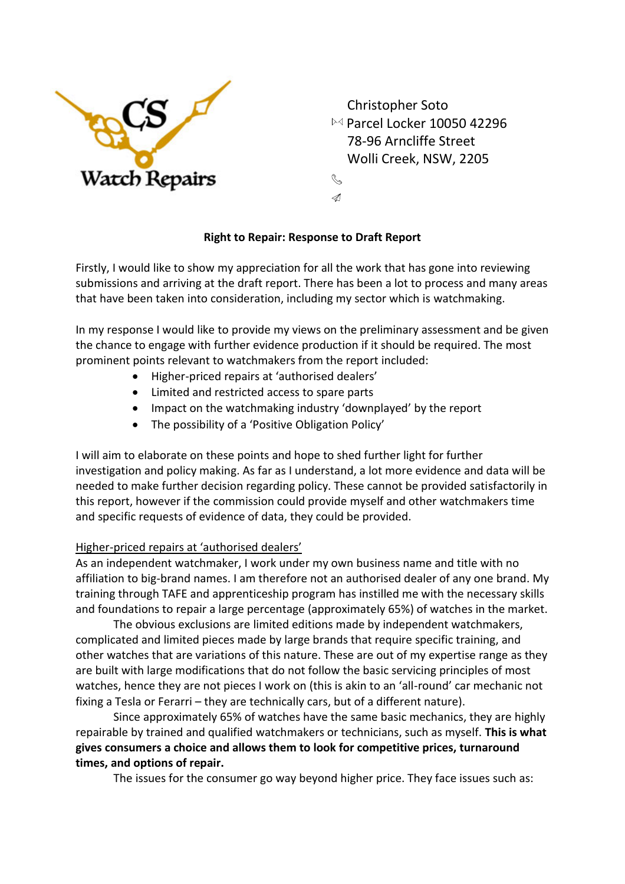

 Christopher Soto  $\bowtie$  Parcel Locker 10050 42296 78-96 Arncliffe Street Wolli Creek, NSW, 2205

# **Right to Repair: Response to Draft Report**

R.  $\mathcal{A}$ 

Firstly, I would like to show my appreciation for all the work that has gone into reviewing submissions and arriving at the draft report. There has been a lot to process and many areas that have been taken into consideration, including my sector which is watchmaking.

In my response I would like to provide my views on the preliminary assessment and be given the chance to engage with further evidence production if it should be required. The most prominent points relevant to watchmakers from the report included:

- Higher-priced repairs at 'authorised dealers'
- Limited and restricted access to spare parts
- Impact on the watchmaking industry 'downplayed' by the report
- The possibility of a 'Positive Obligation Policy'

I will aim to elaborate on these points and hope to shed further light for further investigation and policy making. As far as I understand, a lot more evidence and data will be needed to make further decision regarding policy. These cannot be provided satisfactorily in this report, however if the commission could provide myself and other watchmakers time and specific requests of evidence of data, they could be provided.

### Higher-priced repairs at 'authorised dealers'

As an independent watchmaker, I work under my own business name and title with no affiliation to big-brand names. I am therefore not an authorised dealer of any one brand. My training through TAFE and apprenticeship program has instilled me with the necessary skills and foundations to repair a large percentage (approximately 65%) of watches in the market.

The obvious exclusions are limited editions made by independent watchmakers, complicated and limited pieces made by large brands that require specific training, and other watches that are variations of this nature. These are out of my expertise range as they are built with large modifications that do not follow the basic servicing principles of most watches, hence they are not pieces I work on (this is akin to an 'all-round' car mechanic not fixing a Tesla or Ferarri – they are technically cars, but of a different nature).

Since approximately 65% of watches have the same basic mechanics, they are highly repairable by trained and qualified watchmakers or technicians, such as myself. **This is what gives consumers a choice and allows them to look for competitive prices, turnaround times, and options of repair.**

The issues for the consumer go way beyond higher price. They face issues such as: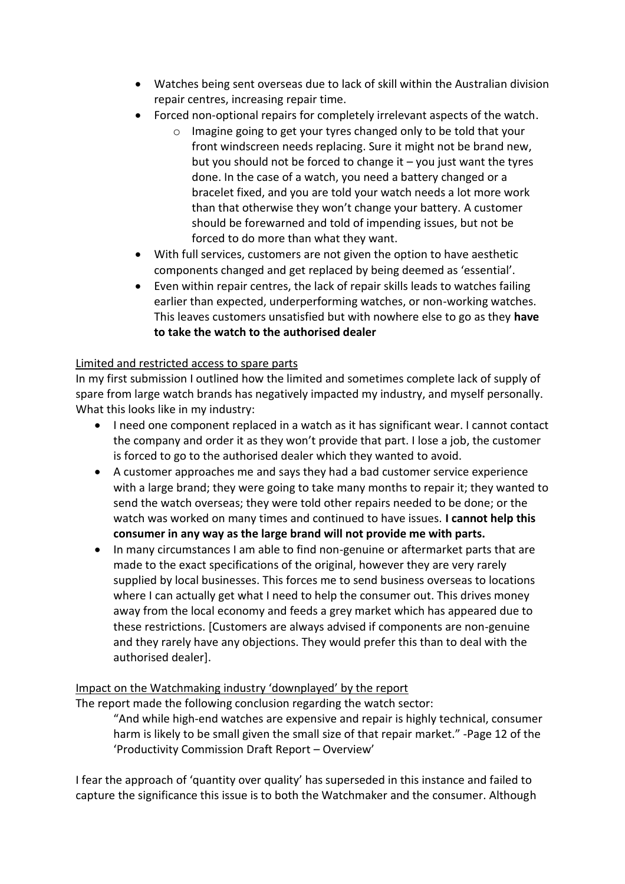- Watches being sent overseas due to lack of skill within the Australian division repair centres, increasing repair time.
- Forced non-optional repairs for completely irrelevant aspects of the watch.
	- o Imagine going to get your tyres changed only to be told that your front windscreen needs replacing. Sure it might not be brand new, but you should not be forced to change it  $-$  you just want the tyres done. In the case of a watch, you need a battery changed or a bracelet fixed, and you are told your watch needs a lot more work than that otherwise they won't change your battery. A customer should be forewarned and told of impending issues, but not be forced to do more than what they want.
- With full services, customers are not given the option to have aesthetic components changed and get replaced by being deemed as 'essential'.
- Even within repair centres, the lack of repair skills leads to watches failing earlier than expected, underperforming watches, or non-working watches. This leaves customers unsatisfied but with nowhere else to go as they **have to take the watch to the authorised dealer**

## Limited and restricted access to spare parts

In my first submission I outlined how the limited and sometimes complete lack of supply of spare from large watch brands has negatively impacted my industry, and myself personally. What this looks like in my industry:

- I need one component replaced in a watch as it has significant wear. I cannot contact the company and order it as they won't provide that part. I lose a job, the customer is forced to go to the authorised dealer which they wanted to avoid.
- A customer approaches me and says they had a bad customer service experience with a large brand; they were going to take many months to repair it; they wanted to send the watch overseas; they were told other repairs needed to be done; or the watch was worked on many times and continued to have issues. **I cannot help this consumer in any way as the large brand will not provide me with parts.**
- In many circumstances I am able to find non-genuine or aftermarket parts that are made to the exact specifications of the original, however they are very rarely supplied by local businesses. This forces me to send business overseas to locations where I can actually get what I need to help the consumer out. This drives money away from the local economy and feeds a grey market which has appeared due to these restrictions. [Customers are always advised if components are non-genuine and they rarely have any objections. They would prefer this than to deal with the authorised dealer].

### Impact on the Watchmaking industry 'downplayed' by the report

The report made the following conclusion regarding the watch sector:

"And while high-end watches are expensive and repair is highly technical, consumer harm is likely to be small given the small size of that repair market." -Page 12 of the 'Productivity Commission Draft Report – Overview'

I fear the approach of 'quantity over quality' has superseded in this instance and failed to capture the significance this issue is to both the Watchmaker and the consumer. Although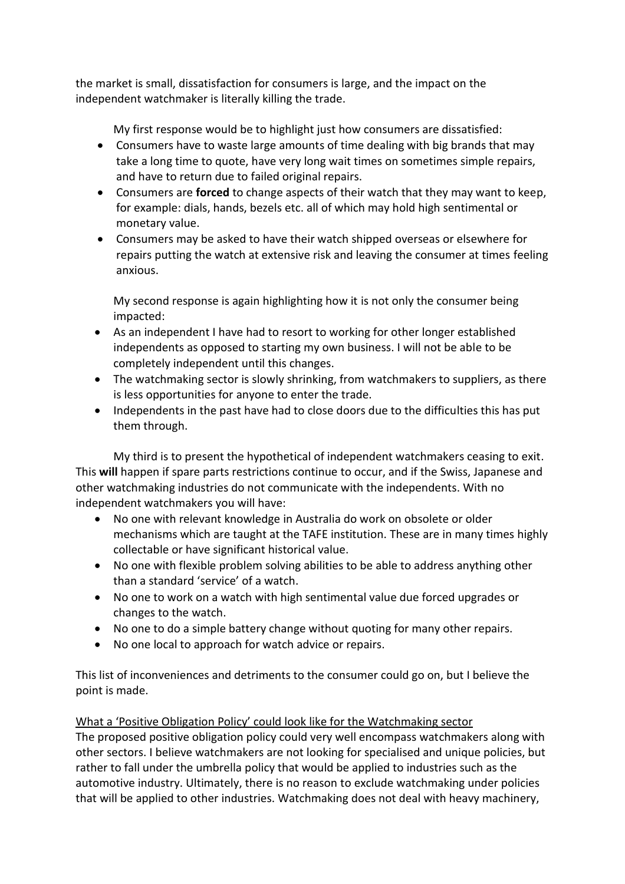the market is small, dissatisfaction for consumers is large, and the impact on the independent watchmaker is literally killing the trade.

My first response would be to highlight just how consumers are dissatisfied:

- Consumers have to waste large amounts of time dealing with big brands that may take a long time to quote, have very long wait times on sometimes simple repairs, and have to return due to failed original repairs.
- Consumers are **forced** to change aspects of their watch that they may want to keep, for example: dials, hands, bezels etc. all of which may hold high sentimental or monetary value.
- Consumers may be asked to have their watch shipped overseas or elsewhere for repairs putting the watch at extensive risk and leaving the consumer at times feeling anxious.

My second response is again highlighting how it is not only the consumer being impacted:

- As an independent I have had to resort to working for other longer established independents as opposed to starting my own business. I will not be able to be completely independent until this changes.
- The watchmaking sector is slowly shrinking, from watchmakers to suppliers, as there is less opportunities for anyone to enter the trade.
- Independents in the past have had to close doors due to the difficulties this has put them through.

My third is to present the hypothetical of independent watchmakers ceasing to exit. This **will** happen if spare parts restrictions continue to occur, and if the Swiss, Japanese and other watchmaking industries do not communicate with the independents. With no independent watchmakers you will have:

- No one with relevant knowledge in Australia do work on obsolete or older mechanisms which are taught at the TAFE institution. These are in many times highly collectable or have significant historical value.
- No one with flexible problem solving abilities to be able to address anything other than a standard 'service' of a watch.
- No one to work on a watch with high sentimental value due forced upgrades or changes to the watch.
- No one to do a simple battery change without quoting for many other repairs.
- No one local to approach for watch advice or repairs.

This list of inconveniences and detriments to the consumer could go on, but I believe the point is made.

### What a 'Positive Obligation Policy' could look like for the Watchmaking sector

The proposed positive obligation policy could very well encompass watchmakers along with other sectors. I believe watchmakers are not looking for specialised and unique policies, but rather to fall under the umbrella policy that would be applied to industries such as the automotive industry. Ultimately, there is no reason to exclude watchmaking under policies that will be applied to other industries. Watchmaking does not deal with heavy machinery,